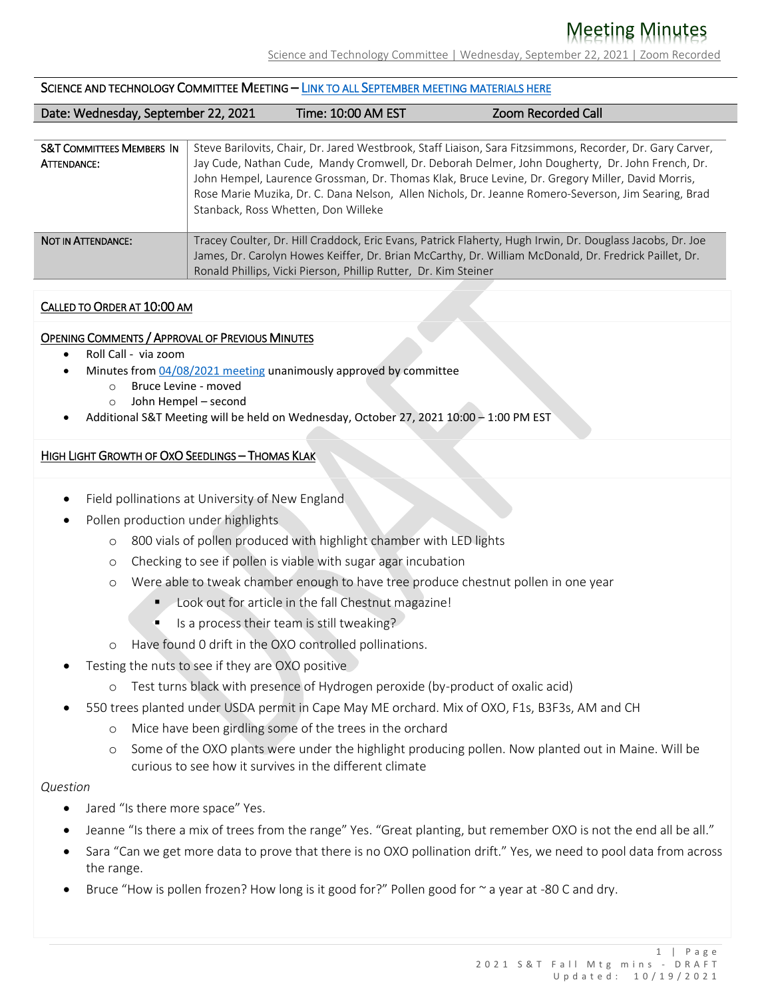# Meeting Minutes

Science and Technology Committee | Wednesday, September 22, 2021 | Zoom Recorded

#### SCIENCE AND TECHNOLOGY COMMITTEE MEETING – LINK TO ALL S[EPTEMBER MEETING MATERIALS HERE](https://acf.org/2021-september-science-and-technology-committee-meeting/)

| Date: Wednesday, September 22, 2021 | Time: 10:00 AM EST | <b>Zoom Recorded Call</b> |
|-------------------------------------|--------------------|---------------------------|

| <b>S&amp;T COMMITTEES MEMBERS IN</b> | Steve Barilovits, Chair, Dr. Jared Westbrook, Staff Liaison, Sara Fitzsimmons, Recorder, Dr. Gary Carver, |
|--------------------------------------|-----------------------------------------------------------------------------------------------------------|
| ATTENDANCE:                          | Jay Cude, Nathan Cude, Mandy Cromwell, Dr. Deborah Delmer, John Dougherty, Dr. John French, Dr.           |
|                                      | John Hempel, Laurence Grossman, Dr. Thomas Klak, Bruce Levine, Dr. Gregory Miller, David Morris,          |
|                                      | Rose Marie Muzika, Dr. C. Dana Nelson, Allen Nichols, Dr. Jeanne Romero-Severson, Jim Searing, Brad       |
|                                      | Stanback, Ross Whetten, Don Willeke                                                                       |
|                                      |                                                                                                           |
| NOT IN ATTENDANCE:                   | Tracey Coulter, Dr. Hill Craddock, Eric Evans, Patrick Flaherty, Hugh Irwin, Dr. Douglass Jacobs, Dr. Joe |
|                                      | James, Dr. Carolyn Howes Keiffer, Dr. Brian McCarthy, Dr. William McDonald, Dr. Fredrick Paillet, Dr.     |
|                                      | Ronald Phillips, Vicki Pierson, Phillip Rutter, Dr. Kim Steiner                                           |
|                                      |                                                                                                           |

#### CALLED TO ORDER AT 10:00 AM

#### OPENING COMMENTS / APPROVAL OF PREVIOUS MINUTES

- Roll Call via zoom
- Minutes from [04/08/2021 meeting](https://acf.org/2021-spring-board-meeting/2021-spring-science-and-technology-meeting/) unanimously approved by committee
	- o Bruce Levine moved
	- o John Hempel second
- Additional S&T Meeting will be held on Wednesday, October 27, 2021 10:00 1:00 PM EST

#### HIGH LIGHT GROWTH OF OXO SEEDLINGS – THOMAS KLAK

- Field pollinations at University of New England
- Pollen production under highlights
	- o 800 vials of pollen produced with highlight chamber with LED lights
	- o Checking to see if pollen is viable with sugar agar incubation
	- o Were able to tweak chamber enough to have tree produce chestnut pollen in one year
		- **Look out for article in the fall Chestnut magazine!**
		- $\blacksquare$  Is a process their team is still tweaking?
	- o Have found 0 drift in the OXO controlled pollinations.
- Testing the nuts to see if they are OXO positive
	- o Test turns black with presence of Hydrogen peroxide (by-product of oxalic acid)
- 550 trees planted under USDA permit in Cape May ME orchard. Mix of OXO, F1s, B3F3s, AM and CH
	- o Mice have been girdling some of the trees in the orchard
	- o Some of the OXO plants were under the highlight producing pollen. Now planted out in Maine. Will be curious to see how it survives in the different climate

#### *Question*

- Jared "Is there more space" Yes.
- Jeanne "Is there a mix of trees from the range" Yes. "Great planting, but remember OXO is not the end all be all."
- Sara "Can we get more data to prove that there is no OXO pollination drift." Yes, we need to pool data from across the range.
- Bruce "How is pollen frozen? How long is it good for?" Pollen good for  $\sim$  a year at -80 C and dry.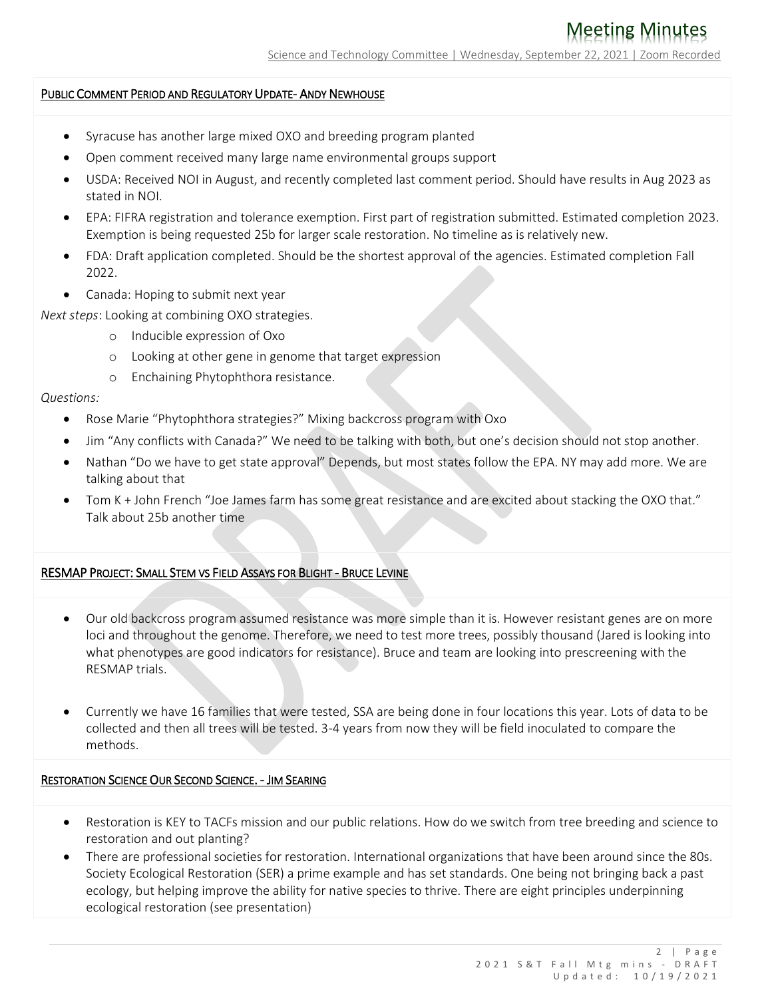### PUBLIC COMMENT PERIOD AND REGULATORY UPDATE- ANDY NEWHOUSE

- Syracuse has another large mixed OXO and breeding program planted
- Open comment received many large name environmental groups support
- USDA: Received NOI in August, and recently completed last comment period. Should have results in Aug 2023 as stated in NOI.
- EPA: FIFRA registration and tolerance exemption. First part of registration submitted. Estimated completion 2023. Exemption is being requested 25b for larger scale restoration. No timeline as is relatively new.
- FDA: Draft application completed. Should be the shortest approval of the agencies. Estimated completion Fall 2022.
- Canada: Hoping to submit next year

*Next steps*: Looking at combining OXO strategies.

- o Inducible expression of Oxo
- o Looking at other gene in genome that target expression
- o Enchaining Phytophthora resistance.

#### *Questions:*

- Rose Marie "Phytophthora strategies?" Mixing backcross program with Oxo
- Jim "Any conflicts with Canada?" We need to be talking with both, but one's decision should not stop another.
- Nathan "Do we have to get state approval" Depends, but most states follow the EPA. NY may add more. We are talking about that
- Tom K + John French "Joe James farm has some great resistance and are excited about stacking the OXO that." Talk about 25b another time

#### RESMAP PROJECT: SMALL STEM VS FIELD ASSAYS FOR BLIGHT - BRUCE LEVINE

- Our old backcross program assumed resistance was more simple than it is. However resistant genes are on more loci and throughout the genome. Therefore, we need to test more trees, possibly thousand (Jared is looking into what phenotypes are good indicators for resistance). Bruce and team are looking into prescreening with the RESMAP trials.
- Currently we have 16 families that were tested, SSA are being done in four locations this year. Lots of data to be collected and then all trees will be tested. 3-4 years from now they will be field inoculated to compare the methods.

### RESTORATION SCIENCE OUR SECOND SCIENCE. - JIM SEARING

- Restoration is KEY to TACFs mission and our public relations. How do we switch from tree breeding and science to restoration and out planting?
- There are professional societies for restoration. International organizations that have been around since the 80s. Society Ecological Restoration (SER) a prime example and has set standards. One being not bringing back a past ecology, but helping improve the ability for native species to thrive. There are eight principles underpinning ecological restoration (see presentation)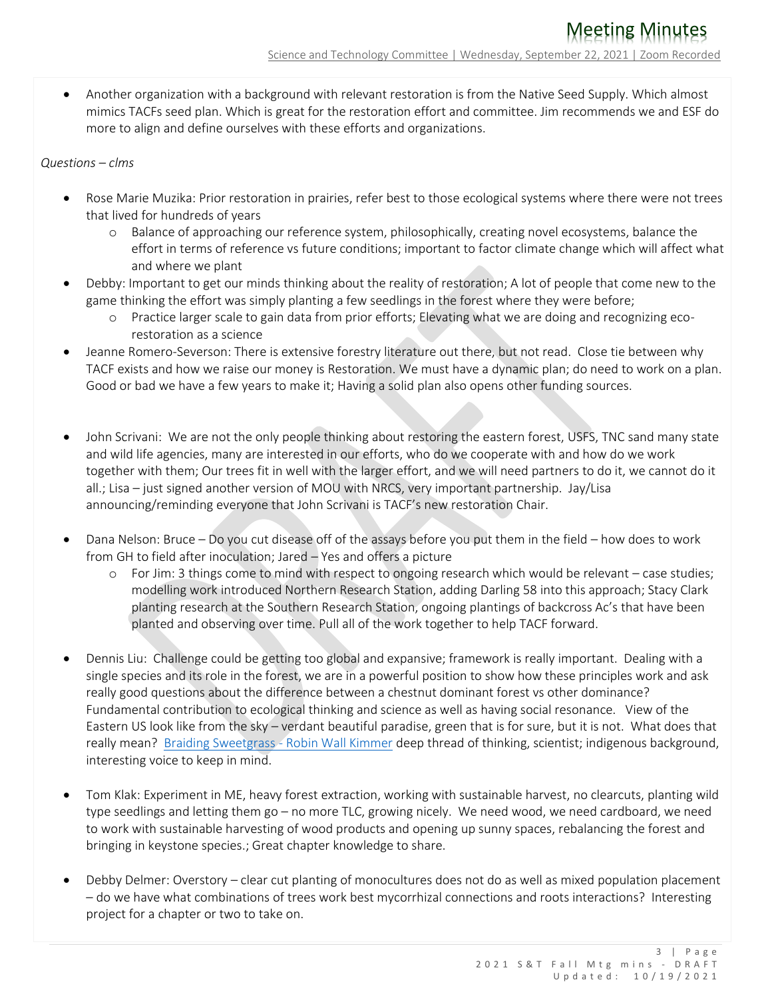Another organization with a background with relevant restoration is from the Native Seed Supply. Which almost mimics TACFs seed plan. Which is great for the restoration effort and committee. Jim recommends we and ESF do more to align and define ourselves with these efforts and organizations.

## *Questions – clms*

- Rose Marie Muzika: Prior restoration in prairies, refer best to those ecological systems where there were not trees that lived for hundreds of years
	- o Balance of approaching our reference system, philosophically, creating novel ecosystems, balance the effort in terms of reference vs future conditions; important to factor climate change which will affect what and where we plant
- Debby: Important to get our minds thinking about the reality of restoration; A lot of people that come new to the game thinking the effort was simply planting a few seedlings in the forest where they were before;
	- o Practice larger scale to gain data from prior efforts; Elevating what we are doing and recognizing ecorestoration as a science
- Jeanne Romero-Severson: There is extensive forestry literature out there, but not read. Close tie between why TACF exists and how we raise our money is Restoration. We must have a dynamic plan; do need to work on a plan. Good or bad we have a few years to make it; Having a solid plan also opens other funding sources.
- John Scrivani: We are not the only people thinking about restoring the eastern forest, USFS, TNC sand many state and wild life agencies, many are interested in our efforts, who do we cooperate with and how do we work together with them; Our trees fit in well with the larger effort, and we will need partners to do it, we cannot do it all.; Lisa – just signed another version of MOU with NRCS, very important partnership. Jay/Lisa announcing/reminding everyone that John Scrivani is TACF's new restoration Chair.
- Dana Nelson: Bruce Do you cut disease off of the assays before you put them in the field how does to work from GH to field after inoculation; Jared – Yes and offers a picture
	- o For Jim: 3 things come to mind with respect to ongoing research which would be relevant case studies; modelling work introduced Northern Research Station, adding Darling 58 into this approach; Stacy Clark planting research at the Southern Research Station, ongoing plantings of backcross Ac's that have been planted and observing over time. Pull all of the work together to help TACF forward.
- Dennis Liu: Challenge could be getting too global and expansive; framework is really important. Dealing with a single species and its role in the forest, we are in a powerful position to show how these principles work and ask really good questions about the difference between a chestnut dominant forest vs other dominance? Fundamental contribution to ecological thinking and science as well as having social resonance. View of the Eastern US look like from the sky – verdant beautiful paradise, green that is for sure, but it is not. What does that really mean? [Braiding Sweetgrass -](https://www.robinwallkimmerer.com/) Robin Wall Kimmer deep thread of thinking, scientist; indigenous background, interesting voice to keep in mind.
- Tom Klak: Experiment in ME, heavy forest extraction, working with sustainable harvest, no clearcuts, planting wild type seedlings and letting them go – no more TLC, growing nicely. We need wood, we need cardboard, we need to work with sustainable harvesting of wood products and opening up sunny spaces, rebalancing the forest and bringing in keystone species.; Great chapter knowledge to share.
- Debby Delmer: Overstory clear cut planting of monocultures does not do as well as mixed population placement – do we have what combinations of trees work best mycorrhizal connections and roots interactions? Interesting project for a chapter or two to take on.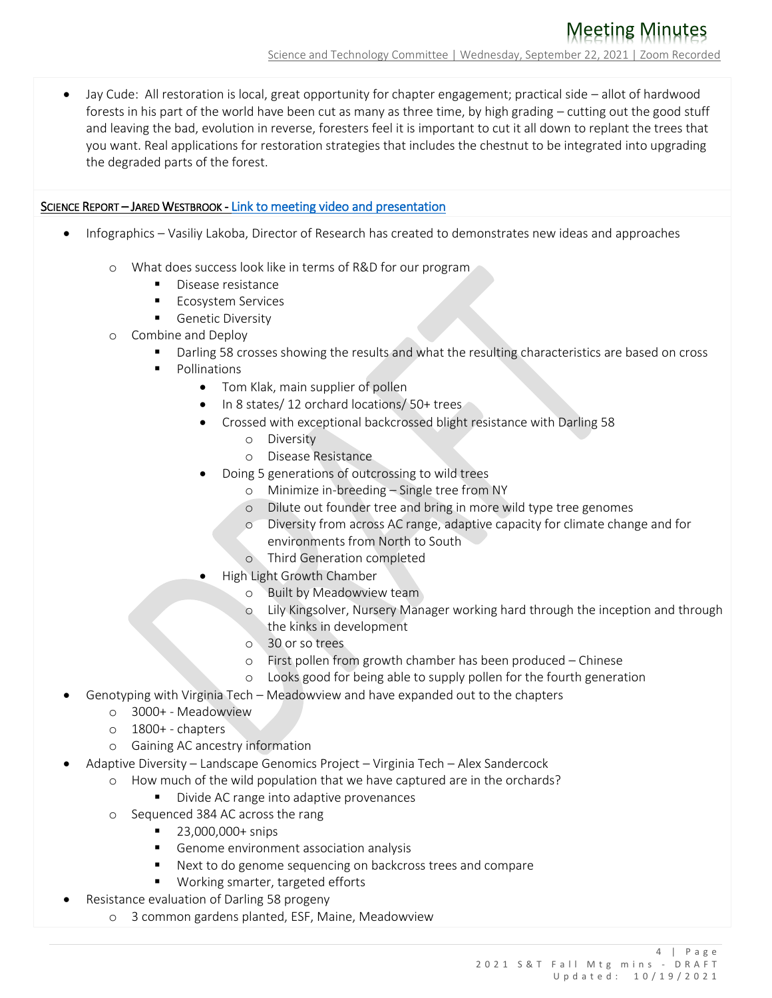Jay Cude: All restoration is local, great opportunity for chapter engagement; practical side – allot of hardwood forests in his part of the world have been cut as many as three time, by high grading – cutting out the good stuff and leaving the bad, evolution in reverse, foresters feel it is important to cut it all down to replant the trees that you want. Real applications for restoration strategies that includes the chestnut to be integrated into upgrading the degraded parts of the forest.

## SCIENCE REPORT – JARED WESTBROOK - [Link to meeting video and presentation](https://acf.org/2021-september-science-and-technology-committee-meeting/)

- Infographics Vasiliy Lakoba, Director of Research has created to demonstrates new ideas and approaches
	- o What does success look like in terms of R&D for our program
		- Disease resistance
		- **Ecosystem Services**
		- **Genetic Diversity**
	- o Combine and Deploy
		- Darling 58 crosses showing the results and what the resulting characteristics are based on cross
		- **Pollinations** 
			- Tom Klak, main supplier of pollen
			- In 8 states/ 12 orchard locations/ 50+ trees
			- Crossed with exceptional backcrossed blight resistance with Darling 58
				- o Diversity
				- o Disease Resistance
			- Doing 5 generations of outcrossing to wild trees
				- Minimize in-breeding Single tree from NY
				- o Dilute out founder tree and bring in more wild type tree genomes
				- o Diversity from across AC range, adaptive capacity for climate change and for environments from North to South
				- o Third Generation completed
			- High Light Growth Chamber
				- Built by Meadowview team
				- Lily Kingsolver, Nursery Manager working hard through the inception and through the kinks in development
				- o 30 or so trees
				- o First pollen from growth chamber has been produced Chinese
				- o Looks good for being able to supply pollen for the fourth generation
	- Genotyping with Virginia Tech Meadowview and have expanded out to the chapters
		- o 3000+ Meadowview
		- o 1800+ chapters
		- o Gaining AC ancestry information
- Adaptive Diversity Landscape Genomics Project Virginia Tech Alex Sandercock
	- o How much of the wild population that we have captured are in the orchards?
		- Divide AC range into adaptive provenances
		- o Sequenced 384 AC across the rang
			- 23,000,000+ snips
			- Genome environment association analysis
			- Next to do genome sequencing on backcross trees and compare
			- Working smarter, targeted efforts
- Resistance evaluation of Darling 58 progeny
	- o 3 common gardens planted, ESF, Maine, Meadowview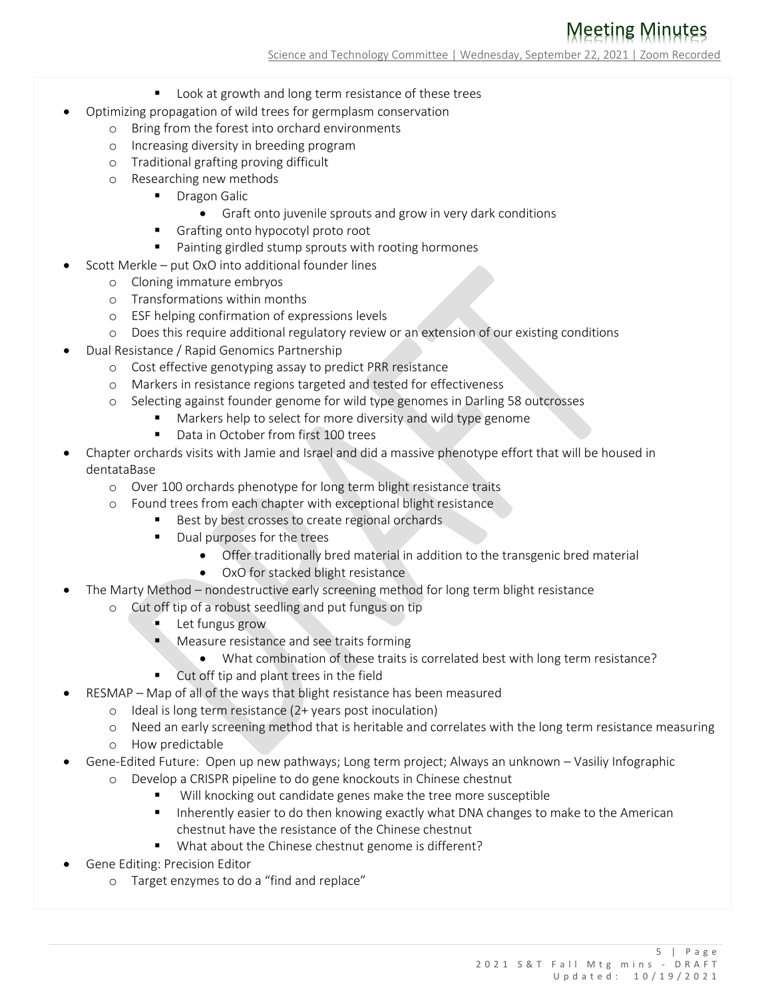# Meeting Minutes

Science and Technology Committee | Wednesday, September 22, 2021 | Zoom Recorded

- **DED Look at growth and long term resistance of these trees**
- Optimizing propagation of wild trees for germplasm conservation
	- o Bring from the forest into orchard environments
	- o Increasing diversity in breeding program
	- o Traditional grafting proving difficult
	- o Researching new methods
		- **Dragon Galic** 
			- Graft onto juvenile sprouts and grow in very dark conditions
		- Grafting onto hypocotyl proto root
		- Painting girdled stump sprouts with rooting hormones
- Scott Merkle put OxO into additional founder lines
	- o Cloning immature embryos
	- o Transformations within months
	- o ESF helping confirmation of expressions levels
	- o Does this require additional regulatory review or an extension of our existing conditions
- Dual Resistance / Rapid Genomics Partnership
	- o Cost effective genotyping assay to predict PRR resistance
	- o Markers in resistance regions targeted and tested for effectiveness
	- o Selecting against founder genome for wild type genomes in Darling 58 outcrosses
		- Markers help to select for more diversity and wild type genome
			- Data in October from first 100 trees
- Chapter orchards visits with Jamie and Israel and did a massive phenotype effort that will be housed in dentataBase
	- o Over 100 orchards phenotype for long term blight resistance traits
	- o Found trees from each chapter with exceptional blight resistance
		- Best by best crosses to create regional orchards
		- Dual purposes for the trees
			- Offer traditionally bred material in addition to the transgenic bred material
			- OxO for stacked blight resistance
- The Marty Method nondestructive early screening method for long term blight resistance
	- o Cut off tip of a robust seedling and put fungus on tip
		- **Let fungus grow**
		- **Measure resistance and see traits forming** 
			- What combination of these traits is correlated best with long term resistance?
		- Cut off tip and plant trees in the field
- RESMAP Map of all of the ways that blight resistance has been measured
	- o Ideal is long term resistance (2+ years post inoculation)
	- o Need an early screening method that is heritable and correlates with the long term resistance measuring
	- o How predictable
- Gene-Edited Future: Open up new pathways; Long term project; Always an unknown Vasiliy Infographic
	- o Develop a CRISPR pipeline to do gene knockouts in Chinese chestnut
		- Will knocking out candidate genes make the tree more susceptible
		- **Inherently easier to do then knowing exactly what DNA changes to make to the American** chestnut have the resistance of the Chinese chestnut
		- What about the Chinese chestnut genome is different?
- Gene Editing: Precision Editor
	- o Target enzymes to do a "find and replace"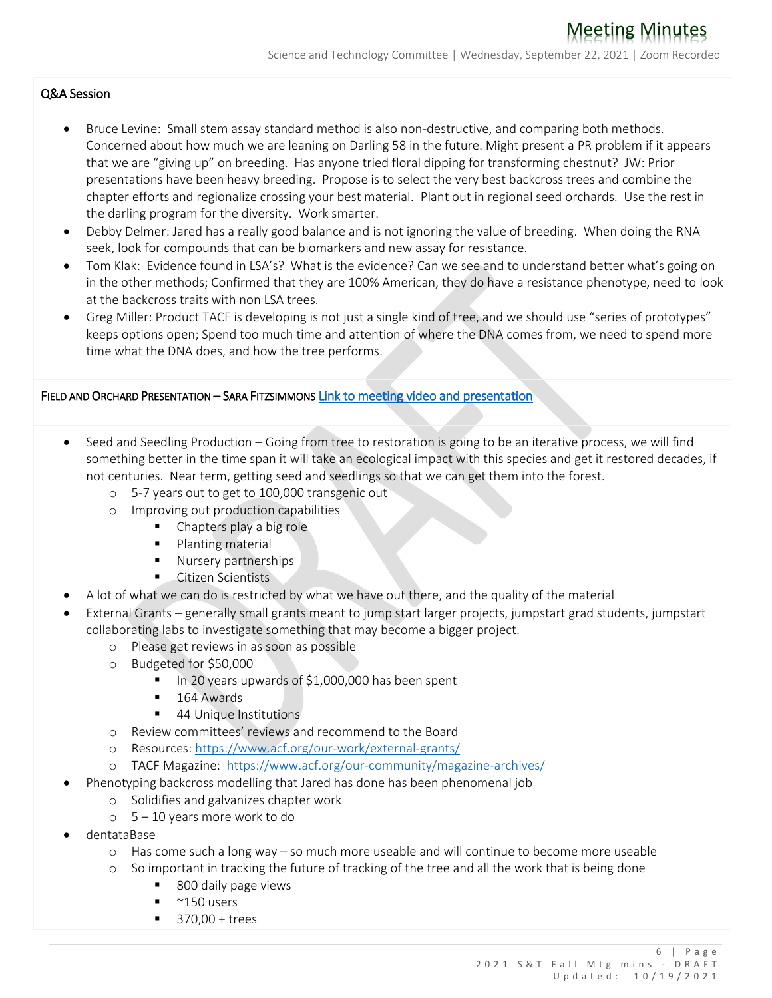# Q&A Session

- Bruce Levine: Small stem assay standard method is also non-destructive, and comparing both methods. Concerned about how much we are leaning on Darling 58 in the future. Might present a PR problem if it appears that we are "giving up" on breeding. Has anyone tried floral dipping for transforming chestnut? JW: Prior presentations have been heavy breeding. Propose is to select the very best backcross trees and combine the chapter efforts and regionalize crossing your best material. Plant out in regional seed orchards. Use the rest in the darling program for the diversity. Work smarter.
- Debby Delmer: Jared has a really good balance and is not ignoring the value of breeding. When doing the RNA seek, look for compounds that can be biomarkers and new assay for resistance.
- Tom Klak: Evidence found in LSA's? What is the evidence? Can we see and to understand better what's going on in the other methods; Confirmed that they are 100% American, they do have a resistance phenotype, need to look at the backcross traits with non LSA trees.
- Greg Miller: Product TACF is developing is not just a single kind of tree, and we should use "series of prototypes" keeps options open; Spend too much time and attention of where the DNA comes from, we need to spend more time what the DNA does, and how the tree performs.

## FIELD AND ORCHARD PRESENTATION – SARA FITZSIMMONS [Link to meeting video and presentation](https://acf.org/2021-september-science-and-technology-committee-meeting/)

- Seed and Seedling Production Going from tree to restoration is going to be an iterative process, we will find something better in the time span it will take an ecological impact with this species and get it restored decades, if not centuries. Near term, getting seed and seedlings so that we can get them into the forest.
	- o 5-7 years out to get to 100,000 transgenic out
	- o Improving out production capabilities
		- Chapters play a big role
		- Planting material
		- **Nursery partnerships**
		- Citizen Scientists
- A lot of what we can do is restricted by what we have out there, and the quality of the material
- External Grants generally small grants meant to jump start larger projects, jumpstart grad students, jumpstart collaborating labs to investigate something that may become a bigger project.
	- o Please get reviews in as soon as possible
	- o Budgeted for \$50,000
		- $\blacksquare$  In 20 years upwards of \$1,000,000 has been spent
		- 164 Awards
		- 44 Unique Institutions
	- o Review committees' reviews and recommend to the Board
	- o Resources:<https://www.acf.org/our-work/external-grants/>
	- o TACF Magazine: <https://www.acf.org/our-community/magazine-archives/>
- Phenotyping backcross modelling that Jared has done has been phenomenal job
	- o Solidifies and galvanizes chapter work
	- o 5 10 years more work to do
- dentataBase
	- o Has come such a long way so much more useable and will continue to become more useable
	- o So important in tracking the future of tracking of the tree and all the work that is being done
		- 800 daily page views
		- $-$  ~150 users
		- $\blacksquare$  370.00 + trees